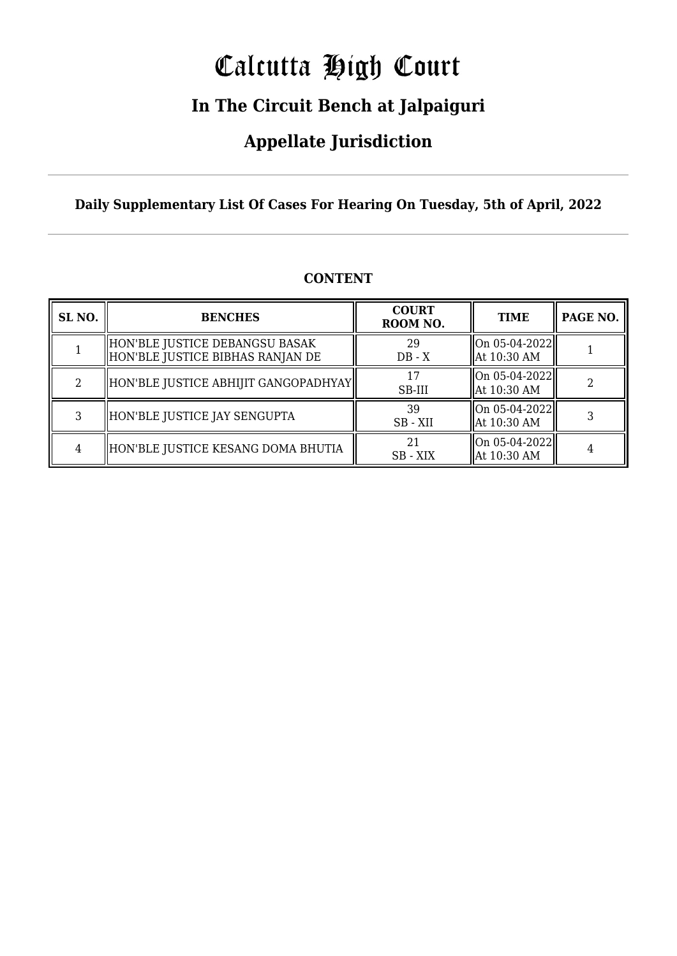# Calcutta High Court

### **In The Circuit Bench at Jalpaiguri**

### **Appellate Jurisdiction**

**Daily Supplementary List Of Cases For Hearing On Tuesday, 5th of April, 2022**

| SL <sub>NO.</sub> | <b>BENCHES</b>                                                     | <b>COURT</b><br>ROOM NO. | <b>TIME</b>                                  | PAGE NO. |
|-------------------|--------------------------------------------------------------------|--------------------------|----------------------------------------------|----------|
|                   | HON'BLE JUSTICE DEBANGSU BASAK<br>HON'BLE JUSTICE BIBHAS RANJAN DE | 29<br>$DB - X$           | $ On 05-04-2022 $<br>At 10:30 AM             |          |
| $\mathfrak{D}$    | HON'BLE JUSTICE ABHIJIT GANGOPADHYAY                               | 17<br>SB-III             | On 05-04-2022<br>At 10:30 AM                 |          |
| 3                 | HON'BLE JUSTICE JAY SENGUPTA                                       | 39<br>SB - XII           | On 05-04-2022  <br>At 10:30 AM               |          |
| 4                 | HON'BLE JUSTICE KESANG DOMA BHUTIA                                 | 21<br>SB - XIX           | $\vert$ On 05-04-2022 $\vert$<br>At 10:30 AM |          |

#### **CONTENT**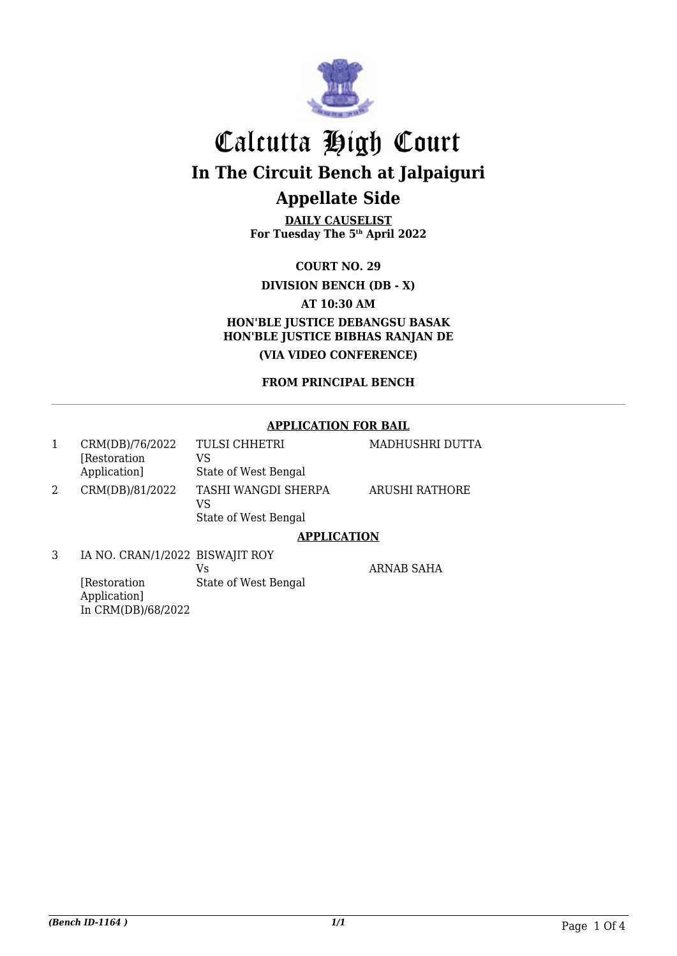

**DAILY CAUSELIST For Tuesday The 5th April 2022**

**COURT NO. 29**

#### **DIVISION BENCH (DB - X)**

**AT 10:30 AM**

**HON'BLE JUSTICE DEBANGSU BASAK HON'BLE JUSTICE BIBHAS RANJAN DE (VIA VIDEO CONFERENCE)**

#### **FROM PRINCIPAL BENCH**

#### **APPLICATION FOR BAIL**

| CRM(DB)/76/2022<br>[Restoration]<br>Application] | <b>TULSI CHHETRI</b><br>VS<br>State of West Bengal | MADHUSHRI DUTTA |
|--------------------------------------------------|----------------------------------------------------|-----------------|
| CRM(DB)/81/2022                                  | TASHI WANGDI SHERPA<br>VS<br>State of West Bengal  | ARUSHI RATHORE  |

#### **APPLICATION**

3 IA NO. CRAN/1/2022 BISWAJIT ROY [Restoration Application] In CRM(DB)/68/2022 Vs State of West Bengal

ARNAB SAHA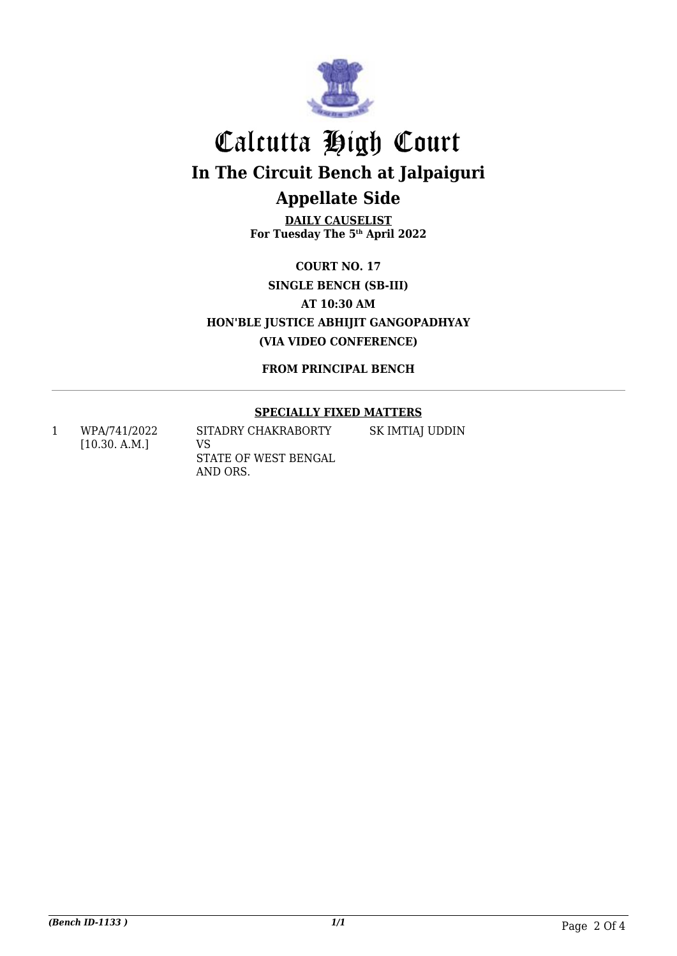

**DAILY CAUSELIST For Tuesday The 5th April 2022**

**COURT NO. 17 SINGLE BENCH (SB-III) AT 10:30 AM HON'BLE JUSTICE ABHIJIT GANGOPADHYAY (VIA VIDEO CONFERENCE)**

**FROM PRINCIPAL BENCH**

#### **SPECIALLY FIXED MATTERS**

SK IMTIAJ UDDIN

1 WPA/741/2022 [10.30. A.M.] SITADRY CHAKRABORTY VS STATE OF WEST BENGAL AND ORS.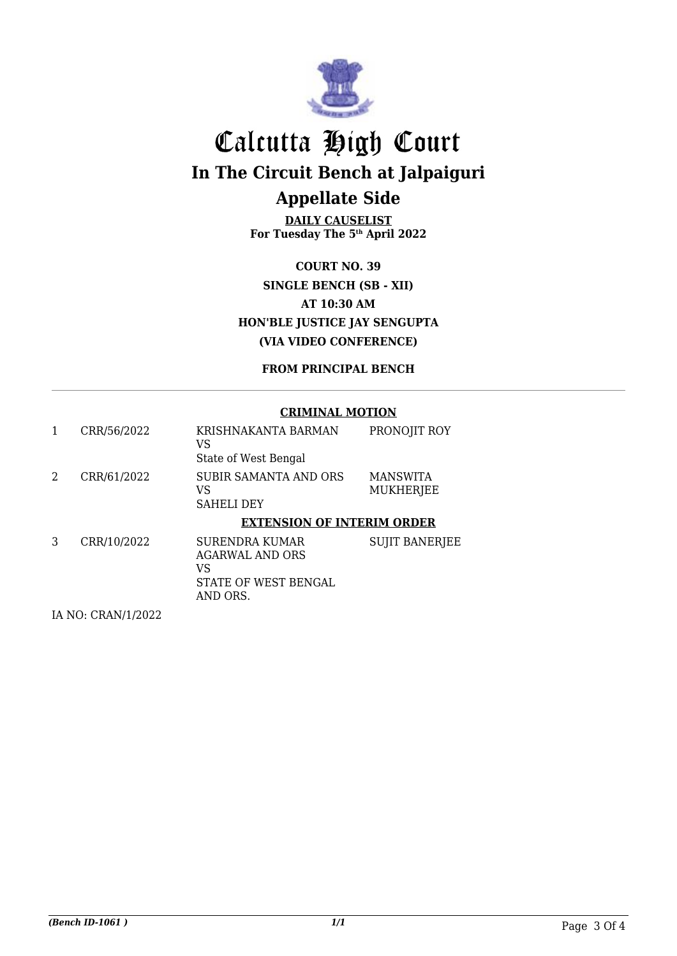

**DAILY CAUSELIST For Tuesday The 5th April 2022**

**COURT NO. 39 SINGLE BENCH (SB - XII) AT 10:30 AM HON'BLE JUSTICE JAY SENGUPTA (VIA VIDEO CONFERENCE)**

#### **FROM PRINCIPAL BENCH**

#### **CRIMINAL MOTION**

|   | CRR/56/2022 | KRISHNAKANTA BARMAN<br>VS<br>State of West Bengal                      | PRONOJIT ROY                        |
|---|-------------|------------------------------------------------------------------------|-------------------------------------|
| 2 | CRR/61/2022 | SUBIR SAMANTA AND ORS<br>VS<br><b>SAHELI DEY</b>                       | <b>MANSWITA</b><br><b>MUKHERJEE</b> |
|   |             | <b>EXTENSION OF INTERIM ORDER</b>                                      |                                     |
| 3 | CRR/10/2022 | <b>SURENDRA KUMAR</b><br>AGARWAL AND ORS<br>VS<br>STATE OF WEST BENGAL | <b>SUJIT BANERJEE</b>               |

IA NO: CRAN/1/2022